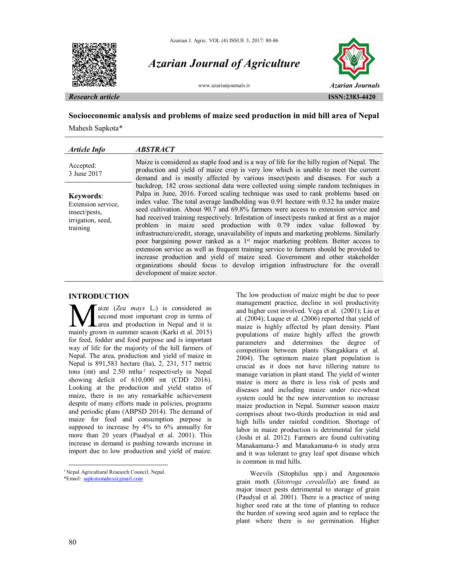





## **Socioeconomic analysis and problems of maize seed production in mid hill area of Nepal**

Mahesh Sapkota\*

| Article Info                                                                      | <b>ABSTRACT</b>                                                                                                                                                                                                                                                                                                                                                                                                                                                                                                                                                                                                                                                                                                                                                                                                                                                                                                                                                                                                        |
|-----------------------------------------------------------------------------------|------------------------------------------------------------------------------------------------------------------------------------------------------------------------------------------------------------------------------------------------------------------------------------------------------------------------------------------------------------------------------------------------------------------------------------------------------------------------------------------------------------------------------------------------------------------------------------------------------------------------------------------------------------------------------------------------------------------------------------------------------------------------------------------------------------------------------------------------------------------------------------------------------------------------------------------------------------------------------------------------------------------------|
| Accepted:<br>3 June 2017                                                          | Maize is considered as staple food and is a way of life for the hilly region of Nepal. The<br>production and yield of maize crop is very low which is unable to meet the current<br>demand and is mostly affected by various insect/pests and diseases. For such a                                                                                                                                                                                                                                                                                                                                                                                                                                                                                                                                                                                                                                                                                                                                                     |
| Keywords:<br>Extension service,<br>insect/pests,<br>irrigation, seed,<br>training | backdrop, 182 cross sectional data were collected using simple random techniques in<br>Palpa in June, 2016. Forced scaling technique was used to rank problems based on<br>index value. The total average landholding was 0.91 hectare with 0.32 ha under maize<br>seed cultivation. About 90.7 and 69.8% farmers were access to extension service and<br>had received training respectively. Infestation of insect/pests ranked at first as a major<br>problem in maize seed production with 0.79 index value followed by<br>infrastructure/credit, storage, unavailability of inputs and marketing problems. Similarly<br>poor bargaining power ranked as a 1 <sup>st</sup> major marketing problem. Better access to<br>extension service as well as frequent training service to farmers should be provided to<br>increase production and yield of maize seed. Government and other stakeholder<br>organizations should focus to develop irrigation infrastructure for the overall<br>development of maize sector. |

## **INTRODUCTION<sup>1</sup>**

aize (*Zea mays* L.) is considered as second most important crop in terms of Larea and production in Nepal and it is **M** aize (*Zea mays L.*) is considered as second most important crop in terms of area and production in Nepal and it is mainly grown in summer season (Karki et al. 2015) for feed, fodder and food purpose and is important way of life for the majority of the hill farmers of Nepal. The area, production and yield of maize in Nepal is 891,583 hectare (ha), 2, 231, 517 metric tons (mt) and 2.50 mtha<sup>-1</sup> respectively in Nepal showing deficit of 610,000 mt (CDD 2016). Looking at the production and yield status of maize, there is no any remarkable achievement despite of many efforts made in policies, programs and periodic plans (ABPSD 2014). The demand of maize for feed and consumption purpose is supposed to increase by 4% to 6% annually for more than 20 years (Paudyal et al. 2001). This increase in demand is pushing towards increase in import due to low production and yield of maize.

<sup>1</sup> Nepal Agricultural Research Council, Nepal.

The low production of maize might be due to poor management practice, decline in soil productivity and higher cost involved. Vega et al. (2001); Liu et al. (2004); Luque et al. (2006) reported that yield of maize is highly affected by plant density. Plant populations of maize highly affect the growth parameters and determines the degree of competition between plants (Sangakkara et al. 2004). The optimum maize plant population is crucial as it does not have tillering nature to manage variation in plant stand. The yield of winter maize is more as there is less risk of pests and diseases and including maize under rice-wheat system could be the new intervention to increase maize production in Nepal. Summer season maize comprises about two-thirds production in mid and high hills under rainfed condition. Shortage of labor in maize production is detrimental for yield (Joshi et al. 2012). Farmers are found cultivating Manakamana-3 and Manakamana-6 in study area and it was tolerant to gray leaf spot disease which is common in mid hills.

Weevils (Sitophilus spp.) and Angoumois grain moth (*Sitotroga cerealella*) are found as major insect pests detrimental to storage of grain (Paudyal et al. 2001). There is a practice of using higher seed rate at the time of planting to reduce the burden of sowing seed again and to replace the plant where there is no germination. Higher

 $\overline{a}$ 

<sup>\*</sup>Email: sapkotamahes@gmail.com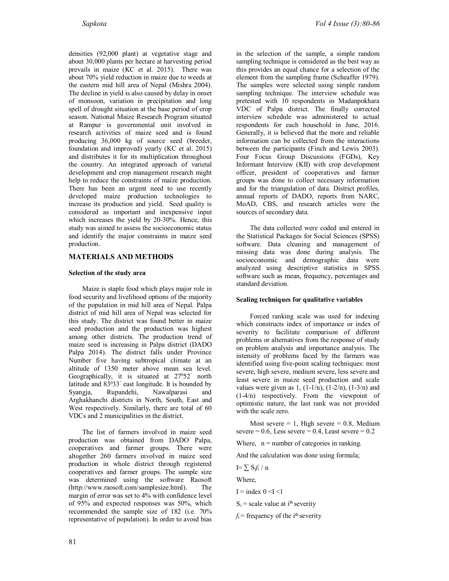densities (92,000 plant) at vegetative stage and about 30,000 plants per hectare at harvesting period prevails in maize (KC et al. 2015). There was about 70% yield reduction in maize due to weeds at the eastern mid hill area of Nepal (Mishra 2004). The decline in yield is also caused by delay in onset of monsoon, variation in precipitation and long spell of drought situation at the base period of crop season. National Maize Research Program situated at Rampur is governmental unit involved in research activities of maize seed and is found producing 36,000 kg of source seed (breeder, foundation and improved) yearly (KC et al. 2015) and distributes it for its multiplication throughout the country. An integrated approach of varietal development and crop management research might help to reduce the constraints of maize production. There has been an urgent need to use recently developed maize production technologies to increase its production and yield. Seed quality is considered as important and inexpensive input which increases the yield by 20-30%. Hence, this study was aimed to assess the socioeconomic status and identify the major constraints in maize seed production.

# **MATERIALS AND METHODS**

#### **Selection of the study area**

Maize is staple food which plays major role in food security and livelihood options of the majority of the population in mid hill area of Nepal. Palpa district of mid hill area of Nepal was selected for this study. The district was found better in maize seed production and the production was highest among other districts. The production trend of maize seed is increasing in Palpa district (DADO Palpa 2014). The district falls under Province Number five having subtropical climate at an altitude of 1350 meter above mean sea level. Geographically, it is situated at 27<sup>0</sup>52' north latitude and 83<sup>0</sup>33<sup>'</sup> east longitude. It is bounded by Syangja, Rupandehi, Nawalparasi and Arghakhanchi districts in North, South, East and West respectively. Similarly, there are total of 60 VDCs and 2 municipalities in the district.

The list of farmers involved in maize seed production was obtained from DADO Palpa, cooperatives and farmer groups. There were altogether 260 farmers involved in maize seed production in whole district through registered cooperatives and farmer groups. The sample size was determined using the software Raosoft (http://www.raosoft.com/samplesize.html). The margin of error was set to 4% with confidence level of 95% and expected responses was 50%, which recommended the sample size of 182 (i.e. 70% representative of population). In order to avoid bias

in the selection of the sample, a simple random sampling technique is considered as the best way as this provides an equal chance for a selection of the element from the sampling frame (Scheaffer 1979). The samples were selected using simple random sampling technique. The interview schedule was pretested with 10 respondents in Madanpokhara VDC of Palpa district. The finally corrected interview schedule was administered to actual respondents for each household in June, 2016. Generally, it is believed that the more and reliable information can be collected from the interactions between the participants (Finch and Lewis 2003). Four Focus Group Discussions (FGDs), Key Informant Interview (KII) with crop development officer, president of cooperatives and farmer groups was done to collect necessary information and for the triangulation of data. District profiles, annual reports of DADO, reports from NARC, MoAD, CBS, and research articles were the sources of secondary data.

The data collected were coded and entered in the Statistical Packages for Social Sciences (SPSS) software. Data cleaning and management of missing data was done during analysis. The socioeconomic and demographic data were analyzed using descriptive statistics in SPSS software such as mean, frequency, percentages and standard deviation.

### **Scaling techniques for qualitative variables**

Forced ranking scale was used for indexing which constructs index of importance or index of severity to facilitate comparison of different problems or alternatives from the response of study on problem analysis and importance analysis. The intensity of problems faced by the farmers was identified using five-point scaling techniques: most severe, high severe, medium severe, less severe and least severe in maize seed production and scale values were given as  $1, (1-1/n), (1-2/n), (1-3/n)$  and (1-4/n) respectively. From the viewpoint of optimistic nature, the last rank was not provided with the scale zero.

Most severe  $= 1$ , High severe  $= 0.8$ , Medium severe =  $0.6$ , Less severe =  $0.4$ , Least severe =  $0.2$ 

Where,  $n =$  number of categories in ranking.

And the calculation was done using formula;

I= ∑ Si*f*i / n

Where,

 $I = index \ 0 \le I \le I$ 

 $S_i$  = scale value at i<sup>th</sup> severity

 $f_i$  = frequency of the i<sup>th</sup> severity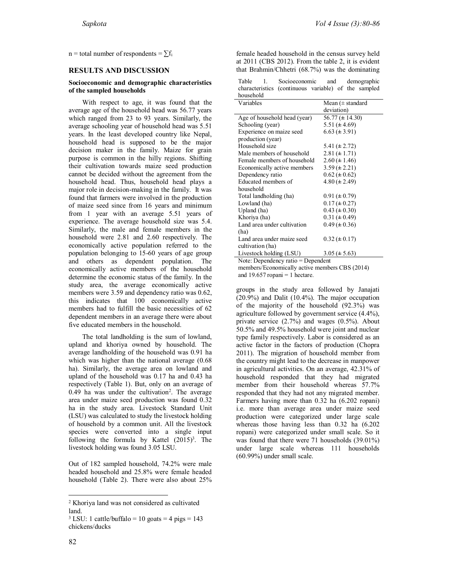n = total number of respondents =  $\sum f_i$ 

#### **RESULTS AND DISCUSSION**

#### **Socioeconomic and demographic characteristics of the sampled households**

With respect to age, it was found that the average age of the household head was 56.77 years which ranged from 23 to 93 years. Similarly, the average schooling year of household head was 5.51 years. In the least developed country like Nepal, household head is supposed to be the major decision maker in the family. Maize for grain purpose is common in the hilly regions. Shifting their cultivation towards maize seed production cannot be decided without the agreement from the household head. Thus, household head plays a major role in decision-making in the family. It was found that farmers were involved in the production of maize seed since from 16 years and minimum from 1 year with an average 5.51 years of experience. The average household size was 5.4. Similarly, the male and female members in the household were 2.81 and 2.60 respectively. The economically active population referred to the population belonging to 15-60 years of age group and others as dependent population. The economically active members of the household determine the economic status of the family. In the study area, the average economically active members were 3.59 and dependency ratio was 0.62, this indicates that 100 economically active members had to fulfill the basic necessities of 62 dependent members in an average there were about five educated members in the household.

The total landholding is the sum of lowland, upland and khoriya owned by household. The average landholding of the household was 0.91 ha which was higher than the national average (0.68 ha). Similarly, the average area on lowland and upland of the household was 0.17 ha and 0.43 ha respectively (Table 1). But, only on an average of 0.49 ha was under the cultivation<sup>2</sup>. The average area under maize seed production was found 0.32 ha in the study area. Livestock Standard Unit (LSU) was calculated to study the livestock holding of household by a common unit. All the livestock species were converted into a single input following the formula by Kattel  $(2015)^3$ . The livestock holding was found 3.05 LSU.

Out of 182 sampled household, 74.2% were male headed household and 25.8% were female headed household (Table 2). There were also about 25%

 $\overline{a}$ 

female headed household in the census survey held at 2011 (CBS 2012). From the table 2, it is evident that Brahmin/Chhetri (68.7%) was the dominating

Table 1. Socioeconomic and demographic characteristics (continuous variable) of the sampled household

| Variables                    | Mean $(\pm$ standard |
|------------------------------|----------------------|
|                              | deviation)           |
| Age of household head (year) | 56.77 ( $\pm$ 14.30) |
| Schooling (year)             | 5.51 ( $\pm$ 4.69)   |
| Experience on maize seed     | $6.63 \ (\pm 3.91)$  |
| production (year)            |                      |
| Household size               | 5.41 ( $\pm$ 2.72)   |
| Male members of household    | $2.81 \ (\pm 1.71)$  |
| Female members of household  | $2.60 \ (\pm 1.46)$  |
| Economically active members  | $3.59 \ (\pm 2.21)$  |
| Dependency ratio             | $0.62 \ (\pm 0.62)$  |
| Educated members of          | $4.80 \ (\pm 2.49)$  |
| household                    |                      |
| Total landholding (ha)       | $0.91 (\pm 0.79)$    |
| Lowland (ha)                 | $0.17 (\pm 0.27)$    |
| Upland (ha)                  | $0.43 \ (\pm 0.30)$  |
| Khoriya (ha)                 | $0.31 (\pm 0.49)$    |
| Land area under cultivation  | $0.49 \ (\pm 0.36)$  |
| (ha)                         |                      |
| Land area under maize seed   | $0.32 \ (\pm 0.17)$  |
| cultivation (ha)             |                      |
| Livestock holding (LSU)      | $3.05 (\pm 5.63)$    |

Note: Dependency ratio = Dependent

members/Economically active members CBS (2014) and  $19.657$  ropani = 1 hectare.

groups in the study area followed by Janajati (20.9%) and Dalit (10.4%). The major occupation of the majority of the household (92.3%) was agriculture followed by government service (4.4%), private service (2.7%) and wages (0.5%). About 50.5% and 49.5% household were joint and nuclear type family respectively. Labor is considered as an active factor in the factors of production (Chopra 2011). The migration of household member from the country might lead to the decrease in manpower in agricultural activities. On an average, 42.31% of household responded that they had migrated member from their household whereas 57.7% responded that they had not any migrated member. Farmers having more than 0.32 ha (6.202 ropani) i.e. more than average area under maize seed production were categorized under large scale whereas those having less than 0.32 ha (6.202 ropani) were categorized under small scale. So it was found that there were 71 households (39.01%) under large scale whereas 111 households (60.99%) under small scale.

<sup>2</sup> Khoriya land was not considered as cultivated land.

 $3$  LSU: 1 cattle/buffalo = 10 goats = 4 pigs = 143 chickens/ducks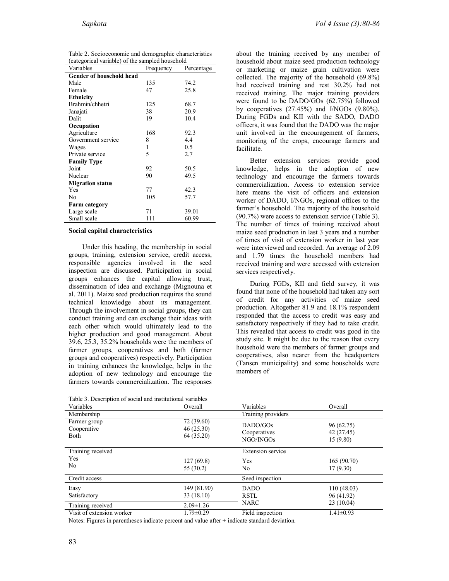| categorical variable) or the sampled household |           |            |  |  |  |  |
|------------------------------------------------|-----------|------------|--|--|--|--|
| Variables                                      | Frequency | Percentage |  |  |  |  |
| <b>Gender of household head</b>                |           |            |  |  |  |  |
| Male                                           | 135       | 74.2       |  |  |  |  |
| Female                                         | 47        | 25.8       |  |  |  |  |
| <b>Ethnicity</b>                               |           |            |  |  |  |  |
| Brahmin/chhetri                                | 125       | 68.7       |  |  |  |  |
| Janajati                                       | 38        | 20.9       |  |  |  |  |
| Dalit                                          | 19        | 10.4       |  |  |  |  |
| Occupation                                     |           |            |  |  |  |  |
| Agriculture                                    | 168       | 92.3       |  |  |  |  |
| Government service                             | 8         | 4.4        |  |  |  |  |
| Wages                                          | 1         | 0.5        |  |  |  |  |
| Private service                                | 5         | 2.7        |  |  |  |  |
| <b>Family Type</b>                             |           |            |  |  |  |  |
| Joint                                          | 92        | 50.5       |  |  |  |  |
| Nuclear                                        | 90        | 49.5       |  |  |  |  |
| <b>Migration status</b>                        |           |            |  |  |  |  |
| Yes                                            | 77        | 42.3       |  |  |  |  |
| No                                             | 105       | 57.7       |  |  |  |  |
| <b>Farm category</b>                           |           |            |  |  |  |  |
| Large scale                                    | 71        | 39.01      |  |  |  |  |
| Small scale                                    | 111       | 60.99      |  |  |  |  |
|                                                |           |            |  |  |  |  |

| Table 2. Socioeconomic and demographic characteristics |
|--------------------------------------------------------|
| (categorical variable) of the sampled household        |

#### **Social capital characteristics**

Under this heading, the membership in social groups, training, extension service, credit access, responsible agencies involved in the seed inspection are discussed. Participation in social groups enhances the capital allowing trust, dissemination of idea and exchange (Mignouna et al. 2011). Maize seed production requires the sound technical knowledge about its management. Through the involvement in social groups, they can conduct training and can exchange their ideas with each other which would ultimately lead to the higher production and good management. About 39.6, 25.3, 35.2% households were the members of farmer groups, cooperatives and both (farmer groups and cooperatives) respectively. Participation in training enhances the knowledge, helps in the adoption of new technology and encourage the farmers towards commercialization. The responses

about the training received by any member of household about maize seed production technology or marketing or maize grain cultivation were collected. The majority of the household (69.8%) had received training and rest 30.2% had not received training. The major training providers were found to be DADO/GOs (62.75%) followed by cooperatives (27.45%) and I/NGOs (9.80%). During FGDs and KII with the SADO, DADO officers, it was found that the DADO was the major unit involved in the encouragement of farmers, monitoring of the crops, encourage farmers and facilitate.

Better extension services provide good knowledge, helps in the adoption of new technology and encourage the farmers towards commercialization. Access to extension service here means the visit of officers and extension worker of DADO, I/NGOs, regional offices to the farmer's household. The majority of the household (90.7%) were access to extension service (Table 3). The number of times of training received about maize seed production in last 3 years and a number of times of visit of extension worker in last year were interviewed and recorded. An average of 2.09 and 1.79 times the household members had received training and were accessed with extension services respectively.

During FGDs, KII and field survey, it was found that none of the household had taken any sort of credit for any activities of maize seed production. Altogether 81.9 and 18.1% respondent responded that the access to credit was easy and satisfactory respectively if they had to take credit. This revealed that access to credit was good in the study site. It might be due to the reason that every household were the members of farmer groups and cooperatives, also nearer from the headquarters (Tansen municipality) and some households were members of

| rable 5. Description or social and institutional variables |                                       |                                       |                                      |
|------------------------------------------------------------|---------------------------------------|---------------------------------------|--------------------------------------|
| Variables                                                  | Overall                               | Variables                             | Overall                              |
| Membership                                                 |                                       | Training providers                    |                                      |
| Farmer group<br>Cooperative<br>Both                        | 72 (39.60)<br>46(25.30)<br>64 (35.20) | DADO/GOs<br>Cooperatives<br>NGO/INGOs | 96 (62.75)<br>42 (27.45)<br>15(9.80) |
| Training received                                          |                                       | <b>Extension service</b>              |                                      |
| Yes<br>No.                                                 | 127(69.8)<br>55 (30.2)                | Yes<br>No.                            | 165(90.70)<br>17(9.30)               |
| Credit access                                              |                                       | Seed inspection                       |                                      |
| Easy<br>Satisfactory                                       | 149 (81.90)<br>33(18.10)              | <b>DADO</b><br>RSTL                   | 110(48.03)<br>96 (41.92)             |
| Training received                                          | $2.09 \pm 1.26$                       | <b>NARC</b>                           | 23(10.04)                            |
| Visit of extension worker                                  | $1.79 \pm 0.29$                       | Field inspection                      | $1.41 \pm 0.93$                      |

Notes: Figures in parentheses indicate percent and value after  $\pm$  indicate standard deviation.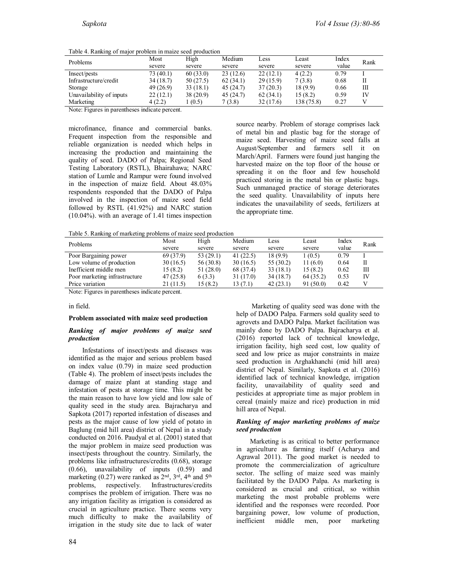Table 4. Ranking of major problem in maize seed production

| Problems                 | Most      | High     | Medium   | Less      | Least      | Index | Rank |  |
|--------------------------|-----------|----------|----------|-----------|------------|-------|------|--|
|                          | severe    | severe   | severe   | severe    | severe     | value |      |  |
| Insect/pests             | 73 (40.1) | 60(33.0) | 23(12.6) | 22(12.1)  | 4(2.2)     | 0.79  |      |  |
| Infrastructure/credit    | 34(18.7)  | 50(27.5) | 62(34.1) | 29(15.9)  | 7(3.8)     | 0.68  | Н    |  |
| Storage                  | 49 (26.9) | 33(18.1) | 45(24.7) | 37(20.3)  | 18 (9.9)   | 0.66  | Ш    |  |
| Unavailability of inputs | 22(12.1)  | 38(20.9) | 45(24.7) | 62(34.1)  | 15(8.2)    | 0.59  | IV   |  |
| Marketing                | 4(2.2)    | (0.5)    | 7(3.8)   | 32 (17.6) | 138 (75.8) | 0.27  |      |  |

Note: Figures in parentheses indicate percent.

microfinance, finance and commercial banks. Frequent inspection from the responsible and reliable organization is needed which helps in increasing the production and maintaining the quality of seed. DADO of Palpa; Regional Seed Testing Laboratory (RSTL), Bhairahawa; NARC station of Lumle and Rampur were found involved in the inspection of maize field. About 48.03% respondents responded that the DADO of Palpa involved in the inspection of maize seed field followed by RSTL (41.92%) and NARC station (10.04%). with an average of 1.41 times inspection

source nearby. Problem of storage comprises lack of metal bin and plastic bag for the storage of maize seed. Harvesting of maize seed falls at August/September and farmers sell it on March/April. Farmers were found just hanging the harvested maize on the top floor of the house or spreading it on the floor and few household practiced storing in the metal bin or plastic bags. Such unmanaged practice of storage deteriorates the seed quality. Unavailability of inputs here indicates the unavailability of seeds, fertilizers at the appropriate time.

Table 5. Ranking of marketing problems of maize seed production

| <b>Problems</b>               | Most      | High      | Medium      | Less      | Least     | Index | Rank |
|-------------------------------|-----------|-----------|-------------|-----------|-----------|-------|------|
|                               | severe    | severe    | severe      | severe    | severe    | value |      |
| Poor Bargaining power         | 69 (37.9) | 53(29.1)  | 41 $(22.5)$ | 18(9.9)   | (0.5)     | 0.79  |      |
| Low volume of production      | 30(16.5)  | 56 (30.8) | 30(16.5)    | 55 (30.2) | 11(6.0)   | 0.64  |      |
| Inefficient middle men        | 15(8.2)   | 51(28.0)  | 68 (37.4)   | 33(18.1)  | 15(8.2)   | 0.62  | Ш    |
| Poor marketing infrastructure | 47(25.8)  | 6(3.3)    | 31 (17.0)   | 34(18.7)  | 64 (35.2) | 0.53  | IV   |
| Price variation               | 21 (11.5) | 15 (8.2)  | 13 (7.1)    | 42(23.1)  | 91(50.0)  | 0.42  |      |

Note: Figures in parentheses indicate percent.

in field.

#### **Problem associated with maize seed production**

#### *Ranking of major problems of maize seed production*

Infestations of insect/pests and diseases was identified as the major and serious problem based on index value (0.79) in maize seed production (Table 4). The problem of insect/pests includes the damage of maize plant at standing stage and infestation of pests at storage time. This might be the main reason to have low yield and low sale of quality seed in the study area. Bajracharya and Sapkota (2017) reported infestation of diseases and pests as the major cause of low yield of potato in Baglung (mid hill area) district of Nepal in a study conducted on 2016. Paudyal et al. (2001) stated that the major problem in maize seed production was insect/pests throughout the country. Similarly, the problems like infrastructures/credits (0.68), storage (0.66), unavailability of inputs (0.59) and marketing (0.27) were ranked as  $2<sup>nd</sup>$ ,  $3<sup>rd</sup>$ ,  $4<sup>th</sup>$  and  $5<sup>th</sup>$ problems, respectively. Infrastructures/credits comprises the problem of irrigation. There was no any irrigation facility as irrigation is considered as crucial in agriculture practice. There seems very much difficulty to make the availability of irrigation in the study site due to lack of water

84

Marketing of quality seed was done with the help of DADO Palpa. Farmers sold quality seed to agrovets and DADO Palpa. Market facilitation was mainly done by DADO Palpa. Bajracharya et al. (2016) reported lack of technical knowledge, irrigation facility, high seed cost, low quality of seed and low price as major constraints in maize seed production in Arghakhanchi (mid hill area) district of Nepal. Similarly, Sapkota et al. (2016) identified lack of technical knowledge, irrigation facility, unavailability of quality seed and pesticides at appropriate time as major problem in cereal (mainly maize and rice) production in mid hill area of Nepal.

### *Ranking of major marketing problems of maize seed production*

Marketing is as critical to better performance in agriculture as farming itself (Acharya and Agrawal 2011). The good market is needed to promote the commercialization of agriculture sector. The selling of maize seed was mainly facilitated by the DADO Palpa. As marketing is considered as crucial and critical, so within marketing the most probable problems were identified and the responses were recorded. Poor bargaining power, low volume of production, inefficient middle men, poor marketing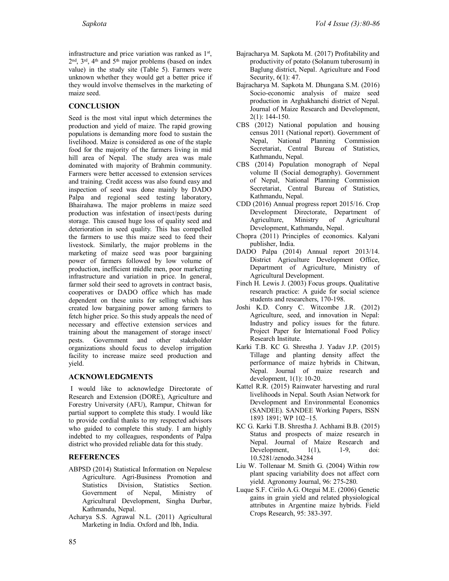infrastructure and price variation was ranked as 1st ,  $2<sup>nd</sup>$ ,  $3<sup>rd</sup>$ ,  $4<sup>th</sup>$  and  $5<sup>th</sup>$  major problems (based on index value) in the study site (Table 5). Farmers were unknown whether they would get a better price if they would involve themselves in the marketing of maize seed.

# **CONCLUSION**

Seed is the most vital input which determines the production and yield of maize. The rapid growing populations is demanding more food to sustain the livelihood. Maize is considered as one of the staple food for the majority of the farmers living in mid hill area of Nepal. The study area was male dominated with majority of Brahmin community. Farmers were better accessed to extension services and training. Credit access was also found easy and inspection of seed was done mainly by DADO Palpa and regional seed testing laboratory, Bhairahawa. The major problems in maize seed production was infestation of insect/pests during storage. This caused huge loss of quality seed and deterioration in seed quality. This has compelled the farmers to use this maize seed to feed their livestock. Similarly, the major problems in the marketing of maize seed was poor bargaining power of farmers followed by low volume of production, inefficient middle men, poor marketing infrastructure and variation in price. In general, farmer sold their seed to agrovets in contract basis, cooperatives or DADO office which has made dependent on these units for selling which has created low bargaining power among farmers to fetch higher price. So this study appeals the need of necessary and effective extension services and training about the management of storage insect/ pests. Government and other stakeholder organizations should focus to develop irrigation facility to increase maize seed production and yield.

# **ACKNOWLEDGMENTS**

I would like to acknowledge Directorate of Research and Extension (DORE), Agriculture and Forestry University (AFU), Rampur, Chitwan for partial support to complete this study. I would like to provide cordial thanks to my respected advisors who guided to complete this study. I am highly indebted to my colleagues, respondents of Palpa district who provided reliable data for this study.

# **REFERENCES**

- ABPSD (2014) Statistical Information on Nepalese Agriculture. Agri-Business Promotion and<br>Statistics Division, Statistics Section. Statistics Division, Statistics Section. Government of Nepal, Ministry of Agricultural Development, Singha Durbar, Kathmandu, Nepal.
- Acharya S.S. Agrawal N.L. (2011) Agricultural Marketing in India. Oxford and lbh, India.
- Bajracharya M. Sapkota M. (2017) Profitability and productivity of potato (Solanum tuberosum) in Baglung district, Nepal. Agriculture and Food Security, 6(1): 47.
- Bajracharya M. Sapkota M. Dhungana S.M. (2016) Socio-economic analysis of maize seed production in Arghakhanchi district of Nepal. Journal of Maize Research and Development, 2(1): 144-150.
- CBS (2012) National population and housing census 2011 (National report). Government of Nepal, National Planning Commission Secretariat, Central Bureau of Statistics, Kathmandu, Nepal.
- CBS (2014) Population monograph of Nepal volume II (Social demography). Government of Nepal, National Planning Commission Secretariat, Central Bureau of Statistics, Kathmandu, Nepal.
- CDD (2016) Annual progress report 2015/16. Crop Development Directorate, Department of Agriculture, Ministry of Agricultural Development, Kathmandu, Nepal.
- Chopra (2011) Principles of economics. Kalyani publisher, India.
- DADO Palpa (2014) Annual report 2013/14. District Agriculture Development Office, Department of Agriculture, Ministry of Agricultural Development.
- Finch H. Lewis J. (2003) Focus groups. Qualitative research practice: A guide for social science students and researchers, 170-198.
- Joshi K.D. Conry C. Witcombe J.R. (2012) Agriculture, seed, and innovation in Nepal: Industry and policy issues for the future. Project Paper for International Food Policy Research Institute.
- Karki T.B. KC G. Shrestha J. Yadav J.P. (2015) Tillage and planting density affect the performance of maize hybrids in Chitwan, Nepal. Journal of maize research and development, 1(1): 10-20.
- Kattel R.R. (2015) Rainwater harvesting and rural livelihoods in Nepal. South Asian Network for Development and Environmental Economics (SANDEE). SANDEE Working Papers, ISSN 1893 1891; WP 102–15.
- KC G. Karki T.B. Shrestha J. Achhami B.B. (2015) Status and prospects of maize research in Nepal. Journal of Maize Research and<br>Development, 1(1), 1-9, doi: Development,  $1(1)$ ,  $1-9$ , doi: 10.5281/zenodo.34284
- Liu W. Tollenaar M. Smith G. (2004) Within row plant spacing variability does not affect corn yield. Agronomy Journal, 96: 275-280.
- Luque S.F. Cirilo A.G. Otegui M.E. (2006) Genetic gains in grain yield and related physiological attributes in Argentine maize hybrids. Field Crops Research, 95: 383-397.